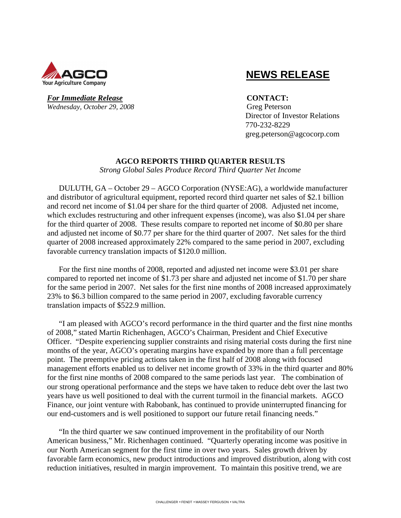

# **NEWS RELEASE**

*For Immediate Release* **CONTACT:** *Wednesday, October 29, 2008* Greg Peterson

 Director of Investor Relations 770-232-8229 greg.peterson@agcocorp.com

### **AGCO REPORTS THIRD QUARTER RESULTS**

*Strong Global Sales Produce Record Third Quarter Net Income* 

DULUTH, GA – October 29 – AGCO Corporation (NYSE:AG), a worldwide manufacturer and distributor of agricultural equipment, reported record third quarter net sales of \$2.1 billion and record net income of \$1.04 per share for the third quarter of 2008. Adjusted net income, which excludes restructuring and other infrequent expenses (income), was also \$1.04 per share for the third quarter of 2008. These results compare to reported net income of \$0.80 per share and adjusted net income of \$0.77 per share for the third quarter of 2007. Net sales for the third quarter of 2008 increased approximately 22% compared to the same period in 2007, excluding favorable currency translation impacts of \$120.0 million.

For the first nine months of 2008, reported and adjusted net income were \$3.01 per share compared to reported net income of \$1.73 per share and adjusted net income of \$1.70 per share for the same period in 2007. Net sales for the first nine months of 2008 increased approximately 23% to \$6.3 billion compared to the same period in 2007, excluding favorable currency translation impacts of \$522.9 million.

"I am pleased with AGCO's record performance in the third quarter and the first nine months of 2008," stated Martin Richenhagen, AGCO's Chairman, President and Chief Executive Officer. "Despite experiencing supplier constraints and rising material costs during the first nine months of the year, AGCO's operating margins have expanded by more than a full percentage point. The preemptive pricing actions taken in the first half of 2008 along with focused management efforts enabled us to deliver net income growth of 33% in the third quarter and 80% for the first nine months of 2008 compared to the same periods last year. The combination of our strong operational performance and the steps we have taken to reduce debt over the last two years have us well positioned to deal with the current turmoil in the financial markets. AGCO Finance, our joint venture with Rabobank, has continued to provide uninterrupted financing for our end-customers and is well positioned to support our future retail financing needs."

"In the third quarter we saw continued improvement in the profitability of our North American business," Mr. Richenhagen continued. "Quarterly operating income was positive in our North American segment for the first time in over two years. Sales growth driven by favorable farm economics, new product introductions and improved distribution, along with cost reduction initiatives, resulted in margin improvement. To maintain this positive trend, we are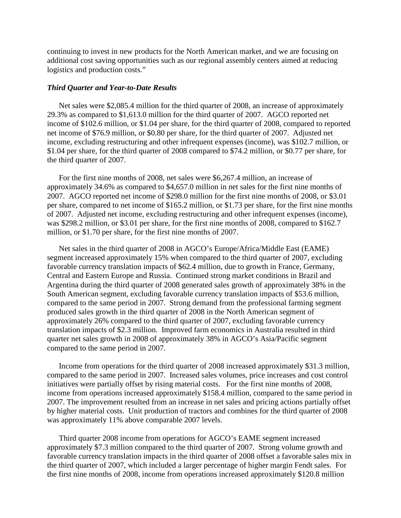continuing to invest in new products for the North American market, and we are focusing on additional cost saving opportunities such as our regional assembly centers aimed at reducing logistics and production costs."

#### *Third Quarter and Year-to-Date Results*

Net sales were \$2,085.4 million for the third quarter of 2008, an increase of approximately 29.3% as compared to \$1,613.0 million for the third quarter of 2007. AGCO reported net income of \$102.6 million, or \$1.04 per share, for the third quarter of 2008, compared to reported net income of \$76.9 million, or \$0.80 per share, for the third quarter of 2007. Adjusted net income, excluding restructuring and other infrequent expenses (income), was \$102.7 million, or \$1.04 per share, for the third quarter of 2008 compared to \$74.2 million, or \$0.77 per share, for the third quarter of 2007.

For the first nine months of 2008, net sales were \$6,267.4 million, an increase of approximately 34.6% as compared to \$4,657.0 million in net sales for the first nine months of 2007. AGCO reported net income of \$298.0 million for the first nine months of 2008, or \$3.01 per share, compared to net income of \$165.2 million, or \$1.73 per share, for the first nine months of 2007. Adjusted net income, excluding restructuring and other infrequent expenses (income), was \$298.2 million, or \$3.01 per share, for the first nine months of 2008, compared to \$162.7 million, or \$1.70 per share, for the first nine months of 2007.

Net sales in the third quarter of 2008 in AGCO's Europe/Africa/Middle East (EAME) segment increased approximately 15% when compared to the third quarter of 2007, excluding favorable currency translation impacts of \$62.4 million, due to growth in France, Germany, Central and Eastern Europe and Russia. Continued strong market conditions in Brazil and Argentina during the third quarter of 2008 generated sales growth of approximately 38% in the South American segment, excluding favorable currency translation impacts of \$53.6 million, compared to the same period in 2007. Strong demand from the professional farming segment produced sales growth in the third quarter of 2008 in the North American segment of approximately 26% compared to the third quarter of 2007, excluding favorable currency translation impacts of \$2.3 million. Improved farm economics in Australia resulted in third quarter net sales growth in 2008 of approximately 38% in AGCO's Asia/Pacific segment compared to the same period in 2007.

Income from operations for the third quarter of 2008 increased approximately \$31.3 million, compared to the same period in 2007. Increased sales volumes, price increases and cost control initiatives were partially offset by rising material costs. For the first nine months of 2008, income from operations increased approximately \$158.4 million, compared to the same period in 2007. The improvement resulted from an increase in net sales and pricing actions partially offset by higher material costs. Unit production of tractors and combines for the third quarter of 2008 was approximately 11% above comparable 2007 levels.

Third quarter 2008 income from operations for AGCO's EAME segment increased approximately \$7.3 million compared to the third quarter of 2007. Strong volume growth and favorable currency translation impacts in the third quarter of 2008 offset a favorable sales mix in the third quarter of 2007, which included a larger percentage of higher margin Fendt sales. For the first nine months of 2008, income from operations increased approximately \$120.8 million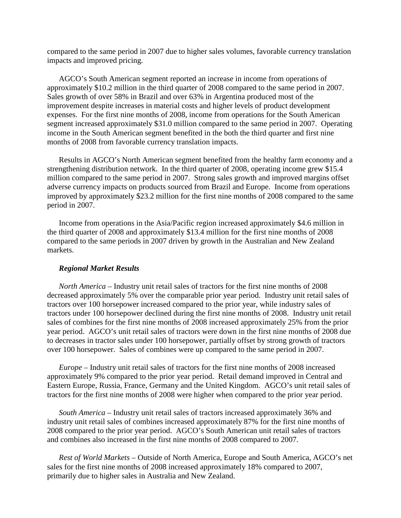compared to the same period in 2007 due to higher sales volumes, favorable currency translation impacts and improved pricing.

AGCO's South American segment reported an increase in income from operations of approximately \$10.2 million in the third quarter of 2008 compared to the same period in 2007. Sales growth of over 58% in Brazil and over 63% in Argentina produced most of the improvement despite increases in material costs and higher levels of product development expenses. For the first nine months of 2008, income from operations for the South American segment increased approximately \$31.0 million compared to the same period in 2007. Operating income in the South American segment benefited in the both the third quarter and first nine months of 2008 from favorable currency translation impacts.

Results in AGCO's North American segment benefited from the healthy farm economy and a strengthening distribution network. In the third quarter of 2008, operating income grew \$15.4 million compared to the same period in 2007. Strong sales growth and improved margins offset adverse currency impacts on products sourced from Brazil and Europe. Income from operations improved by approximately \$23.2 million for the first nine months of 2008 compared to the same period in 2007.

Income from operations in the Asia/Pacific region increased approximately \$4.6 million in the third quarter of 2008 and approximately \$13.4 million for the first nine months of 2008 compared to the same periods in 2007 driven by growth in the Australian and New Zealand markets.

#### *Regional Market Results*

*North America* – Industry unit retail sales of tractors for the first nine months of 2008 decreased approximately 5% over the comparable prior year period. Industry unit retail sales of tractors over 100 horsepower increased compared to the prior year, while industry sales of tractors under 100 horsepower declined during the first nine months of 2008. Industry unit retail sales of combines for the first nine months of 2008 increased approximately 25% from the prior year period. AGCO's unit retail sales of tractors were down in the first nine months of 2008 due to decreases in tractor sales under 100 horsepower, partially offset by strong growth of tractors over 100 horsepower. Sales of combines were up compared to the same period in 2007.

*Europe –* Industry unit retail sales of tractors for the first nine months of 2008 increased approximately 9% compared to the prior year period. Retail demand improved in Central and Eastern Europe, Russia, France, Germany and the United Kingdom. AGCO's unit retail sales of tractors for the first nine months of 2008 were higher when compared to the prior year period.

*South America –* Industry unit retail sales of tractors increased approximately 36% and industry unit retail sales of combines increased approximately 87% for the first nine months of 2008 compared to the prior year period. AGCO's South American unit retail sales of tractors and combines also increased in the first nine months of 2008 compared to 2007.

*Rest of World Markets –* Outside of North America, Europe and South America, AGCO's net sales for the first nine months of 2008 increased approximately 18% compared to 2007, primarily due to higher sales in Australia and New Zealand.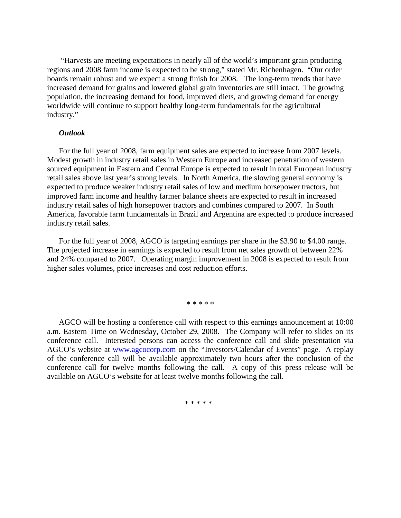"Harvests are meeting expectations in nearly all of the world's important grain producing regions and 2008 farm income is expected to be strong," stated Mr. Richenhagen. "Our order boards remain robust and we expect a strong finish for 2008. The long-term trends that have increased demand for grains and lowered global grain inventories are still intact. The growing population, the increasing demand for food, improved diets, and growing demand for energy worldwide will continue to support healthy long-term fundamentals for the agricultural industry."

#### *Outlook*

For the full year of 2008, farm equipment sales are expected to increase from 2007 levels. Modest growth in industry retail sales in Western Europe and increased penetration of western sourced equipment in Eastern and Central Europe is expected to result in total European industry retail sales above last year's strong levels. In North America, the slowing general economy is expected to produce weaker industry retail sales of low and medium horsepower tractors, but improved farm income and healthy farmer balance sheets are expected to result in increased industry retail sales of high horsepower tractors and combines compared to 2007. In South America, favorable farm fundamentals in Brazil and Argentina are expected to produce increased industry retail sales.

For the full year of 2008, AGCO is targeting earnings per share in the \$3.90 to \$4.00 range. The projected increase in earnings is expected to result from net sales growth of between 22% and 24% compared to 2007. Operating margin improvement in 2008 is expected to result from higher sales volumes, price increases and cost reduction efforts.

\* \* \* \* \*

AGCO will be hosting a conference call with respect to this earnings announcement at 10:00 a.m. Eastern Time on Wednesday, October 29, 2008. The Company will refer to slides on its conference call. Interested persons can access the conference call and slide presentation via AGCO's website at www.agcocorp.com on the "Investors/Calendar of Events" page. A replay of the conference call will be available approximately two hours after the conclusion of the conference call for twelve months following the call. A copy of this press release will be available on AGCO's website for at least twelve months following the call.

\* \* \* \* \*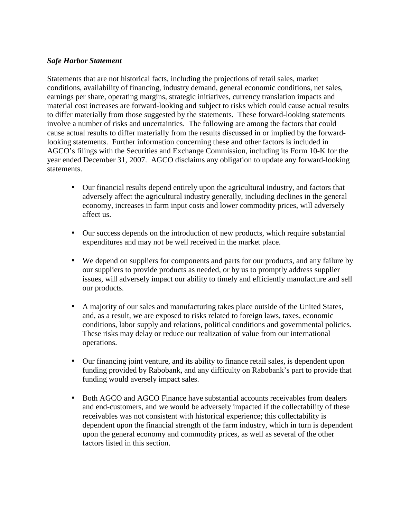### *Safe Harbor Statement*

Statements that are not historical facts, including the projections of retail sales, market conditions, availability of financing, industry demand, general economic conditions, net sales, earnings per share, operating margins, strategic initiatives, currency translation impacts and material cost increases are forward-looking and subject to risks which could cause actual results to differ materially from those suggested by the statements. These forward-looking statements involve a number of risks and uncertainties. The following are among the factors that could cause actual results to differ materially from the results discussed in or implied by the forwardlooking statements. Further information concerning these and other factors is included in AGCO's filings with the Securities and Exchange Commission, including its Form 10-K for the year ended December 31, 2007. AGCO disclaims any obligation to update any forward-looking statements.

- Our financial results depend entirely upon the agricultural industry, and factors that adversely affect the agricultural industry generally, including declines in the general economy, increases in farm input costs and lower commodity prices, will adversely affect us.
- Our success depends on the introduction of new products, which require substantial expenditures and may not be well received in the market place.
- We depend on suppliers for components and parts for our products, and any failure by our suppliers to provide products as needed, or by us to promptly address supplier issues, will adversely impact our ability to timely and efficiently manufacture and sell our products.
- A majority of our sales and manufacturing takes place outside of the United States, and, as a result, we are exposed to risks related to foreign laws, taxes, economic conditions, labor supply and relations, political conditions and governmental policies. These risks may delay or reduce our realization of value from our international operations.
- Our financing joint venture, and its ability to finance retail sales, is dependent upon funding provided by Rabobank, and any difficulty on Rabobank's part to provide that funding would aversely impact sales.
- Both AGCO and AGCO Finance have substantial accounts receivables from dealers and end-customers, and we would be adversely impacted if the collectability of these receivables was not consistent with historical experience; this collectability is dependent upon the financial strength of the farm industry, which in turn is dependent upon the general economy and commodity prices, as well as several of the other factors listed in this section.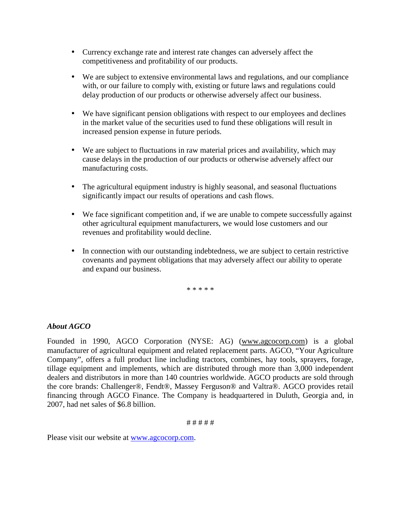- Currency exchange rate and interest rate changes can adversely affect the competitiveness and profitability of our products.
- We are subject to extensive environmental laws and regulations, and our compliance with, or our failure to comply with, existing or future laws and regulations could delay production of our products or otherwise adversely affect our business.
- We have significant pension obligations with respect to our employees and declines in the market value of the securities used to fund these obligations will result in increased pension expense in future periods.
- We are subject to fluctuations in raw material prices and availability, which may cause delays in the production of our products or otherwise adversely affect our manufacturing costs.
- The agricultural equipment industry is highly seasonal, and seasonal fluctuations significantly impact our results of operations and cash flows.
- We face significant competition and, if we are unable to compete successfully against other agricultural equipment manufacturers, we would lose customers and our revenues and profitability would decline.
- In connection with our outstanding indebtedness, we are subject to certain restrictive covenants and payment obligations that may adversely affect our ability to operate and expand our business.

\* \* \* \* \*

### *About AGCO*

Founded in 1990, AGCO Corporation (NYSE: AG) (www.agcocorp.com) is a global manufacturer of agricultural equipment and related replacement parts. AGCO, "Your Agriculture Company", offers a full product line including tractors, combines, hay tools, sprayers, forage, tillage equipment and implements, which are distributed through more than 3,000 independent dealers and distributors in more than 140 countries worldwide. AGCO products are sold through the core brands: Challenger®, Fendt®, Massey Ferguson® and Valtra®. AGCO provides retail financing through AGCO Finance. The Company is headquartered in Duluth, Georgia and, in 2007, had net sales of \$6.8 billion.

### # # # # #

Please visit our website at www.agcocorp.com.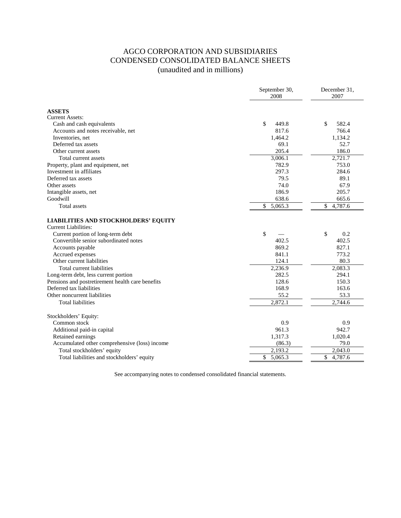### AGCO CORPORATION AND SUBSIDIARIES CONDENSED CONSOLIDATED BALANCE SHEETS (unaudited and in millions)

|                                                                            | September 30,<br>2008   | December 31,<br>2007 |
|----------------------------------------------------------------------------|-------------------------|----------------------|
| <b>ASSETS</b>                                                              |                         |                      |
| <b>Current Assets:</b>                                                     |                         |                      |
| Cash and cash equivalents                                                  | \$<br>449.8             | \$<br>582.4          |
| Accounts and notes receivable, net                                         | 817.6                   | 766.4                |
| Inventories, net                                                           | 1,464.2                 | 1,134.2              |
| Deferred tax assets                                                        | 69.1                    | 52.7                 |
| Other current assets                                                       | 205.4                   | 186.0                |
| Total current assets                                                       | 3,006.1                 | 2,721.7              |
| Property, plant and equipment, net                                         | 782.9                   | 753.0                |
| Investment in affiliates                                                   | 297.3                   | 284.6                |
| Deferred tax assets                                                        | 79.5                    | 89.1                 |
| Other assets                                                               | 74.0                    | 67.9                 |
| Intangible assets, net                                                     | 186.9                   | 205.7                |
| Goodwill                                                                   | 638.6                   | 665.6                |
| <b>Total assets</b>                                                        | \$<br>5,065.3           | \$<br>4,787.6        |
| <b>LIABILITIES AND STOCKHOLDERS' EQUITY</b><br><b>Current Liabilities:</b> |                         |                      |
| Current portion of long-term debt                                          | \$                      | $\mathbb{S}$<br>0.2  |
| Convertible senior subordinated notes                                      | 402.5                   | 402.5                |
| Accounts payable                                                           | 869.2                   | 827.1                |
| Accrued expenses                                                           | 841.1                   | 773.2                |
| Other current liabilities                                                  | 124.1                   | 80.3                 |
| Total current liabilities                                                  | $2,236.\overline{9}$    | 2,083.3              |
| Long-term debt, less current portion                                       | 282.5                   | 294.1                |
| Pensions and postretirement health care benefits                           | 128.6                   | 150.3                |
| Deferred tax liabilities                                                   | 168.9                   | 163.6                |
| Other noncurrent liabilities                                               | 55.2                    | 53.3                 |
| <b>Total liabilities</b>                                                   | 2,872.1                 | 2,744.6              |
| Stockholders' Equity:                                                      |                         |                      |
| Common stock                                                               | 0.9                     | 0.9                  |
| Additional paid-in capital                                                 | 961.3                   | 942.7                |
| Retained earnings                                                          | 1,317.3                 | 1,020.4              |
| Accumulated other comprehensive (loss) income                              | (86.3)                  | 79.0                 |
| Total stockholders' equity                                                 | 2,193.2                 | 2,043.0              |
| Total liabilities and stockholders' equity                                 | $\mathbb{S}$<br>5,065.3 | \$<br>4,787.6        |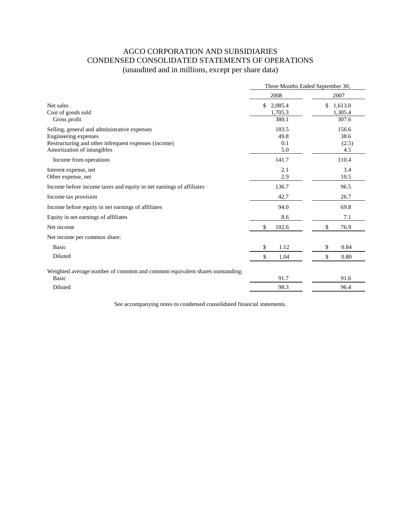## AGCO CORPORATION AND SUBSIDIARIES CONDENSED CONSOLIDATED STATEMENTS OF OPERATIONS (unaudited and in millions, except per share data)

|                                                                             | Three Months Ended September 30, |               |  |  |  |
|-----------------------------------------------------------------------------|----------------------------------|---------------|--|--|--|
|                                                                             | 2008                             | 2007          |  |  |  |
| Net sales                                                                   | \$<br>2,085.4                    | \$<br>1,613.0 |  |  |  |
| Cost of goods sold                                                          | 1,705.3                          | 1,305.4       |  |  |  |
| Gross profit                                                                | 380.1                            | 307.6         |  |  |  |
| Selling, general and administrative expenses                                | 183.5                            | 156.6         |  |  |  |
| Engineering expenses                                                        | 49.8                             | 38.6          |  |  |  |
| Restructuring and other infrequent expenses (income)                        | 0.1                              | (2.5)         |  |  |  |
| Amortization of intangibles                                                 | 5.0                              | 4.5           |  |  |  |
| Income from operations                                                      | 141.7                            | 110.4         |  |  |  |
| Interest expense, net                                                       | 2.1                              | 3.4           |  |  |  |
| Other expense, net                                                          | 2.9                              | 10.5          |  |  |  |
| Income before income taxes and equity in net earnings of affiliates         | 136.7                            | 96.5          |  |  |  |
| Income tax provision                                                        | 42.7                             | 26.7          |  |  |  |
| Income before equity in net earnings of affiliates                          | 94.0                             | 69.8          |  |  |  |
| Equity in net earnings of affiliates                                        | 8.6                              | 7.1           |  |  |  |
| Net income                                                                  | \$<br>102.6                      | \$<br>76.9    |  |  |  |
| Net income per common share:                                                |                                  |               |  |  |  |
| Basic                                                                       | \$<br>1.12                       | 0.84<br>\$    |  |  |  |
| Diluted                                                                     | \$<br>1.04                       | 0.80<br>\$    |  |  |  |
| Weighted average number of common and common equivalent shares outstanding: |                                  |               |  |  |  |
| <b>Basic</b>                                                                | 91.7                             | 91.6          |  |  |  |
| Diluted                                                                     | 98.3                             | 96.4          |  |  |  |
|                                                                             |                                  |               |  |  |  |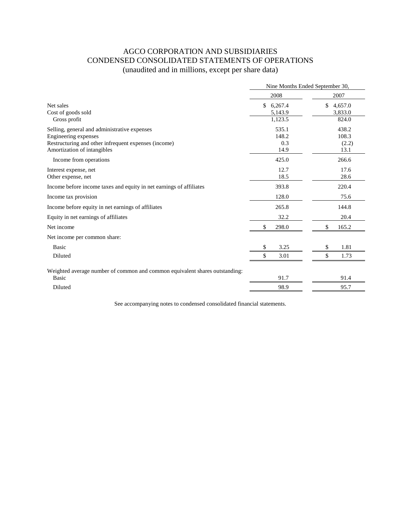## AGCO CORPORATION AND SUBSIDIARIES CONDENSED CONSOLIDATED STATEMENTS OF OPERATIONS (unaudited and in millions, except per share data)

|                                                                             | Nine Months Ended September 30, |               |  |  |  |
|-----------------------------------------------------------------------------|---------------------------------|---------------|--|--|--|
|                                                                             | 2008                            | 2007          |  |  |  |
| Net sales                                                                   | \$<br>6,267.4                   | \$<br>4,657.0 |  |  |  |
| Cost of goods sold                                                          | 5,143.9                         | 3,833.0       |  |  |  |
| Gross profit                                                                | 1,123.5                         | 824.0         |  |  |  |
| Selling, general and administrative expenses                                | 535.1                           | 438.2         |  |  |  |
| Engineering expenses                                                        | 148.2                           | 108.3         |  |  |  |
| Restructuring and other infrequent expenses (income)                        | 0.3                             | (2.2)         |  |  |  |
| Amortization of intangibles                                                 | 14.9                            | 13.1          |  |  |  |
| Income from operations                                                      | 425.0                           | 266.6         |  |  |  |
| Interest expense, net                                                       | 12.7                            | 17.6          |  |  |  |
| Other expense, net                                                          | 18.5                            | 28.6          |  |  |  |
| Income before income taxes and equity in net earnings of affiliates         | 393.8                           | 220.4         |  |  |  |
| Income tax provision                                                        | 128.0                           | 75.6          |  |  |  |
| Income before equity in net earnings of affiliates                          | 265.8                           | 144.8         |  |  |  |
| Equity in net earnings of affiliates                                        | 32.2                            | 20.4          |  |  |  |
| Net income                                                                  | \$<br>298.0                     | \$<br>165.2   |  |  |  |
| Net income per common share:                                                |                                 |               |  |  |  |
| <b>Basic</b>                                                                | 3.25<br>\$                      | 1.81<br>\$    |  |  |  |
| Diluted                                                                     | \$<br>3.01                      | \$<br>1.73    |  |  |  |
| Weighted average number of common and common equivalent shares outstanding: |                                 |               |  |  |  |
| Basic                                                                       | 91.7                            | 91.4          |  |  |  |
| Diluted                                                                     | 98.9                            | 95.7          |  |  |  |
|                                                                             |                                 |               |  |  |  |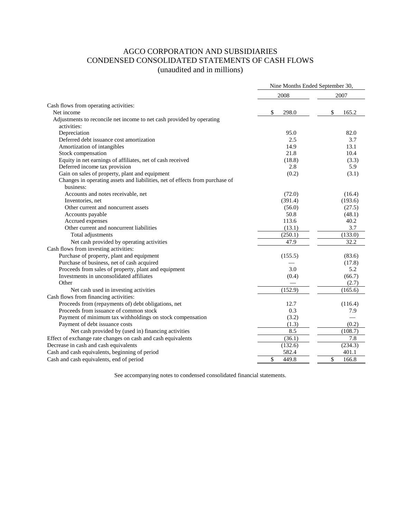### AGCO CORPORATION AND SUBSIDIARIES CONDENSED CONSOLIDATED STATEMENTS OF CASH FLOWS (unaudited and in millions)

|                                                                                           | Nine Months Ended September 30, |             |  |
|-------------------------------------------------------------------------------------------|---------------------------------|-------------|--|
|                                                                                           | 2008                            | 2007        |  |
| Cash flows from operating activities:                                                     |                                 |             |  |
| Net income                                                                                | 298.0<br>\$                     | \$<br>165.2 |  |
| Adjustments to reconcile net income to net cash provided by operating<br>activities:      |                                 |             |  |
| Depreciation                                                                              | 95.0                            | 82.0        |  |
| Deferred debt issuance cost amortization                                                  | 2.5                             | 3.7         |  |
| Amortization of intangibles                                                               | 14.9                            | 13.1        |  |
| Stock compensation                                                                        | 21.8                            | 10.4        |  |
| Equity in net earnings of affiliates, net of cash received                                | (18.8)                          | (3.3)       |  |
| Deferred income tax provision                                                             | 2.8                             | 5.9         |  |
| Gain on sales of property, plant and equipment                                            | (0.2)                           | (3.1)       |  |
| Changes in operating assets and liabilities, net of effects from purchase of<br>business: |                                 |             |  |
| Accounts and notes receivable, net                                                        | (72.0)                          | (16.4)      |  |
| Inventories, net                                                                          | (391.4)                         | (193.6)     |  |
| Other current and noncurrent assets                                                       | (56.0)                          | (27.5)      |  |
| Accounts payable                                                                          | 50.8                            | (48.1)      |  |
| Accrued expenses                                                                          | 113.6                           | 40.2        |  |
| Other current and noncurrent liabilities                                                  | (13.1)                          | 3.7         |  |
| Total adjustments                                                                         | (250.1)                         | (133.0)     |  |
| Net cash provided by operating activities                                                 | 47.9                            | 32.2        |  |
| Cash flows from investing activities:                                                     |                                 |             |  |
| Purchase of property, plant and equipment                                                 | (155.5)                         | (83.6)      |  |
| Purchase of business, net of cash acquired                                                |                                 | (17.8)      |  |
| Proceeds from sales of property, plant and equipment                                      | 3.0                             | 5.2         |  |
| Investments in unconsolidated affiliates                                                  | (0.4)                           | (66.7)      |  |
| Other                                                                                     |                                 | (2.7)       |  |
| Net cash used in investing activities                                                     | (152.9)                         | (165.6)     |  |
| Cash flows from financing activities:                                                     |                                 |             |  |
| Proceeds from (repayments of) debt obligations, net                                       | 12.7                            | (116.4)     |  |
| Proceeds from issuance of common stock                                                    | 0.3                             | 7.9         |  |
| Payment of minimum tax withholdings on stock compensation                                 | (3.2)                           |             |  |
| Payment of debt issuance costs                                                            | (1.3)                           | (0.2)       |  |
| Net cash provided by (used in) financing activities                                       | 8.5                             | (108.7)     |  |
| Effect of exchange rate changes on cash and cash equivalents                              | (36.1)                          | 7.8         |  |
| Decrease in cash and cash equivalents                                                     | (132.6)                         | (234.3)     |  |
| Cash and cash equivalents, beginning of period                                            | 582.4                           | 401.1       |  |
| Cash and cash equivalents, end of period                                                  | \$<br>449.8                     | \$<br>166.8 |  |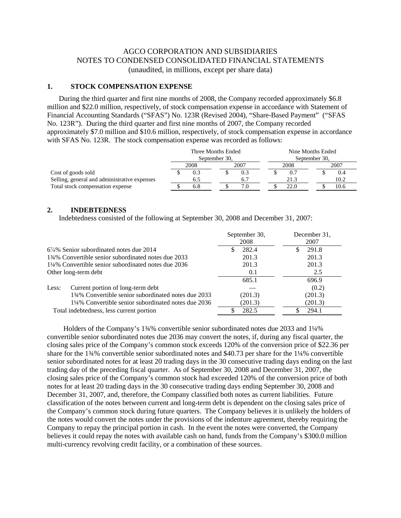### AGCO CORPORATION AND SUBSIDIARIES NOTES TO CONDENSED CONSOLIDATED FINANCIAL STATEMENTS (unaudited, in millions, except per share data)

### **1. STOCK COMPENSATION EXPENSE**

During the third quarter and first nine months of 2008, the Company recorded approximately \$6.8 million and \$22.0 million, respectively, of stock compensation expense in accordance with Statement of Financial Accounting Standards ("SFAS") No. 123R (Revised 2004), "Share-Based Payment" ("SFAS No. 123R"). During the third quarter and first nine months of 2007, the Company recorded approximately \$7.0 million and \$10.6 million, respectively, of stock compensation expense in accordance with SFAS No. 123R. The stock compensation expense was recorded as follows:

|                                              | Three Months Ended<br>September 30, |      |  | Nine Months Ended<br>September 30, |      |  |      |  |
|----------------------------------------------|-------------------------------------|------|--|------------------------------------|------|--|------|--|
|                                              | 2008                                | 2007 |  | 2008                               |      |  | 2007 |  |
| Cost of goods sold                           | 0.3                                 |      |  |                                    |      |  | 0.4  |  |
| Selling, general and administrative expenses | 6.5                                 |      |  |                                    | 21.3 |  | 10.2 |  |
| Total stock compensation expense             | 6.8                                 |      |  |                                    | 22.0 |  | 10.6 |  |

#### **2. INDEBTEDNESS**

Indebtedness consisted of the following at September 30, 2008 and December 31, 2007:

|                                                     | September 30,<br>2008 | December 31.<br>2007 |
|-----------------------------------------------------|-----------------------|----------------------|
| $6\frac{7}{8}\%$ Senior subordinated notes due 2014 | 282.4                 | 291.8                |
| 134% Convertible senior subordinated notes due 2033 | 201.3                 | 201.3                |
| 1¼% Convertible senior subordinated notes due 2036  | 201.3                 | 201.3                |
| Other long-term debt                                | 0.1                   | 2.5                  |
|                                                     | 685.1                 | 696.9                |
| Current portion of long-term debt<br>Less:          |                       | (0.2)                |
| 134% Convertible senior subordinated notes due 2033 | (201.3)               | (201.3)              |
| 1¼% Convertible senior subordinated notes due 2036  | (201.3)               | (201.3)              |
| Total indebtedness, less current portion            | 282.5                 | 294.1                |

 Holders of the Company's 1¾% convertible senior subordinated notes due 2033 and 1¼% convertible senior subordinated notes due 2036 may convert the notes, if, during any fiscal quarter, the closing sales price of the Company's common stock exceeds 120% of the conversion price of \$22.36 per share for the 1¼% convertible senior subordinated notes and \$40.73 per share for the 1¼% convertible senior subordinated notes for at least 20 trading days in the 30 consecutive trading days ending on the last trading day of the preceding fiscal quarter. As of September 30, 2008 and December 31, 2007, the closing sales price of the Company's common stock had exceeded 120% of the conversion price of both notes for at least 20 trading days in the 30 consecutive trading days ending September 30, 2008 and December 31, 2007, and, therefore, the Company classified both notes as current liabilities. Future classification of the notes between current and long-term debt is dependent on the closing sales price of the Company's common stock during future quarters. The Company believes it is unlikely the holders of the notes would convert the notes under the provisions of the indenture agreement, thereby requiring the Company to repay the principal portion in cash. In the event the notes were converted, the Company believes it could repay the notes with available cash on hand, funds from the Company's \$300.0 million multi-currency revolving credit facility, or a combination of these sources.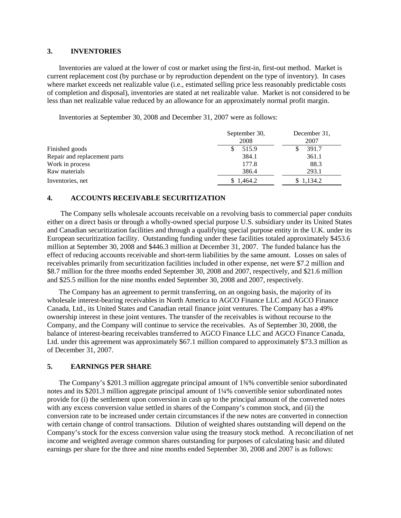#### **3. INVENTORIES**

Inventories are valued at the lower of cost or market using the first-in, first-out method. Market is current replacement cost (by purchase or by reproduction dependent on the type of inventory). In cases where market exceeds net realizable value (i.e., estimated selling price less reasonably predictable costs of completion and disposal), inventories are stated at net realizable value. Market is not considered to be less than net realizable value reduced by an allowance for an approximately normal profit margin.

Inventories at September 30, 2008 and December 31, 2007 were as follows:

|                              | September 30,<br>2008 | December 31,<br>2007 |
|------------------------------|-----------------------|----------------------|
| Finished goods               | 515.9                 | 391.7                |
| Repair and replacement parts | 384.1                 | 361.1                |
| Work in process              | 177.8                 | 88.3                 |
| Raw materials                | 386.4                 | 293.1                |
| Inventories, net             | \$1,464.2             | \$1,134.2            |

### **4. ACCOUNTS RECEIVABLE SECURITIZATION**

The Company sells wholesale accounts receivable on a revolving basis to commercial paper conduits either on a direct basis or through a wholly-owned special purpose U.S. subsidiary under its United States and Canadian securitization facilities and through a qualifying special purpose entity in the U.K. under its European securitization facility. Outstanding funding under these facilities totaled approximately \$453.6 million at September 30, 2008 and \$446.3 million at December 31, 2007. The funded balance has the effect of reducing accounts receivable and short-term liabilities by the same amount. Losses on sales of receivables primarily from securitization facilities included in other expense, net were \$7.2 million and \$8.7 million for the three months ended September 30, 2008 and 2007, respectively, and \$21.6 million and \$25.5 million for the nine months ended September 30, 2008 and 2007, respectively.

The Company has an agreement to permit transferring, on an ongoing basis, the majority of its wholesale interest-bearing receivables in North America to AGCO Finance LLC and AGCO Finance Canada, Ltd., its United States and Canadian retail finance joint ventures. The Company has a 49% ownership interest in these joint ventures. The transfer of the receivables is without recourse to the Company, and the Company will continue to service the receivables. As of September 30, 2008, the balance of interest-bearing receivables transferred to AGCO Finance LLC and AGCO Finance Canada, Ltd. under this agreement was approximately \$67.1 million compared to approximately \$73.3 million as of December 31, 2007.

### **5. EARNINGS PER SHARE**

The Company's \$201.3 million aggregate principal amount of 1¾% convertible senior subordinated notes and its \$201.3 million aggregate principal amount of 1¼% convertible senior subordinated notes provide for (i) the settlement upon conversion in cash up to the principal amount of the converted notes with any excess conversion value settled in shares of the Company's common stock, and (ii) the conversion rate to be increased under certain circumstances if the new notes are converted in connection with certain change of control transactions. Dilution of weighted shares outstanding will depend on the Company's stock for the excess conversion value using the treasury stock method. A reconciliation of net income and weighted average common shares outstanding for purposes of calculating basic and diluted earnings per share for the three and nine months ended September 30, 2008 and 2007 is as follows: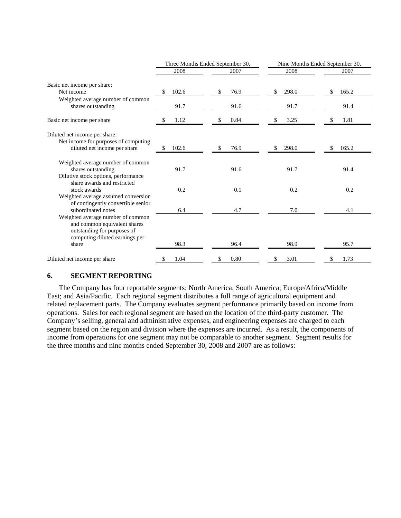|                                                                                                                                             |             | Three Months Ended September 30, | Nine Months Ended September 30, |       |  |
|---------------------------------------------------------------------------------------------------------------------------------------------|-------------|----------------------------------|---------------------------------|-------|--|
|                                                                                                                                             | 2008        | 2007                             | 2008                            | 2007  |  |
| Basic net income per share:                                                                                                                 |             |                                  |                                 |       |  |
| Net income                                                                                                                                  | 102.6<br>S  | 76.9                             | 298.0<br>\$                     | 165.2 |  |
| Weighted average number of common<br>shares outstanding                                                                                     | 91.7        | 91.6                             | 91.7                            | 91.4  |  |
| Basic net income per share                                                                                                                  | 1.12        | 0.84                             | 3.25<br>S                       | 1.81  |  |
| Diluted net income per share:                                                                                                               |             |                                  |                                 |       |  |
| Net income for purposes of computing<br>diluted net income per share                                                                        | 102.6<br>\$ | 76.9                             | 298.0<br>\$                     | 165.2 |  |
| Weighted average number of common<br>shares outstanding<br>Dilutive stock options, performance                                              | 91.7        | 91.6                             | 91.7                            | 91.4  |  |
| share awards and restricted<br>stock awards<br>Weighted average assumed conversion                                                          | 0.2         | 0.1                              | 0.2                             | 0.2   |  |
| of contingently convertible senior<br>subordinated notes                                                                                    | 6.4         | 4.7                              | 7.0                             | 4.1   |  |
| Weighted average number of common<br>and common equivalent shares<br>outstanding for purposes of<br>computing diluted earnings per<br>share | 98.3        | 96.4                             | 98.9                            | 95.7  |  |
| Diluted net income per share                                                                                                                | 1.04<br>S   | 0.80                             | 3.01<br>S                       | 1.73  |  |

### **6. SEGMENT REPORTING**

The Company has four reportable segments: North America; South America; Europe/Africa/Middle East; and Asia/Pacific. Each regional segment distributes a full range of agricultural equipment and related replacement parts. The Company evaluates segment performance primarily based on income from operations. Sales for each regional segment are based on the location of the third-party customer. The Company's selling, general and administrative expenses, and engineering expenses are charged to each segment based on the region and division where the expenses are incurred. As a result, the components of income from operations for one segment may not be comparable to another segment. Segment results for the three months and nine months ended September 30, 2008 and 2007 are as follows: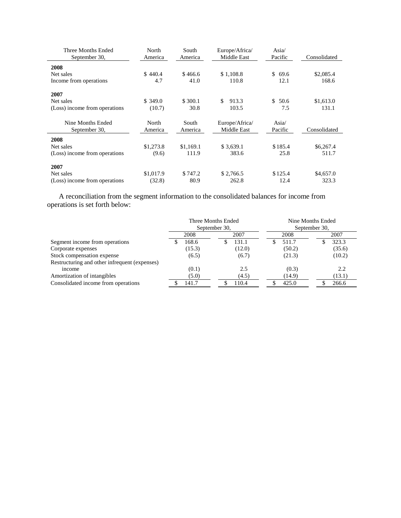| Three Months Ended<br>September 30, | North<br>America | South<br>America | Europe/Africa/<br>Middle East | Asia/<br>Pacific | Consolidated |
|-------------------------------------|------------------|------------------|-------------------------------|------------------|--------------|
| 2008                                |                  |                  |                               |                  |              |
| Net sales                           | \$440.4          | \$466.6          | \$1,108.8                     | \$<br>69.6       | \$2,085.4    |
| Income from operations              | 4.7              | 41.0             | 110.8                         | 12.1             | 168.6        |
| 2007                                |                  |                  |                               |                  |              |
| Net sales                           | \$349.0          | \$300.1          | \$<br>913.3                   | \$50.6           | \$1,613.0    |
| (Loss) income from operations       | (10.7)           | 30.8             | 103.5                         | 7.5              | 131.1        |
| Nine Months Ended                   | North            | South            | Europe/Africa/                | Asia/            |              |
| September 30,                       | America          | America          | Middle East                   | Pacific          | Consolidated |
| 2008                                |                  |                  |                               |                  |              |
| Net sales                           | \$1,273.8        | \$1,169.1        | \$3,639.1                     | \$185.4          | \$6,267.4    |
| (Loss) income from operations       | (9.6)            | 111.9            | 383.6                         | 25.8             | 511.7        |
| 2007                                |                  |                  |                               |                  |              |
| Net sales                           | \$1,017.9        | \$747.2          | \$2,766.5                     | \$125.4          | \$4,657.0    |
| (Loss) income from operations       | (32.8)           | 80.9             | 262.8                         | 12.4             | 323.3        |

A reconciliation from the segment information to the consolidated balances for income from operations is set forth below:

|                                               | Three Months Ended<br>September 30, |        |  | Nine Months Ended<br>September 30, |  |        |  |        |
|-----------------------------------------------|-------------------------------------|--------|--|------------------------------------|--|--------|--|--------|
|                                               |                                     | 2008   |  | 2007                               |  | 2008   |  | 2007   |
| Segment income from operations                |                                     | 168.6  |  | 131.1                              |  | 511.7  |  | 323.3  |
| Corporate expenses                            |                                     | (15.3) |  | (12.0)                             |  | (50.2) |  | (35.6) |
| Stock compensation expense                    |                                     | (6.5)  |  | (6.7)                              |  | (21.3) |  | (10.2) |
| Restructuring and other infrequent (expenses) |                                     |        |  |                                    |  |        |  |        |
| income                                        |                                     | (0.1)  |  | 2.5                                |  | (0.3)  |  | 2.2    |
| Amortization of intangibles                   |                                     | (5.0)  |  | (4.5)                              |  | (14.9) |  | (13.1) |
| Consolidated income from operations           |                                     | 141.7  |  | 110.4                              |  | 425.0  |  | 266.6  |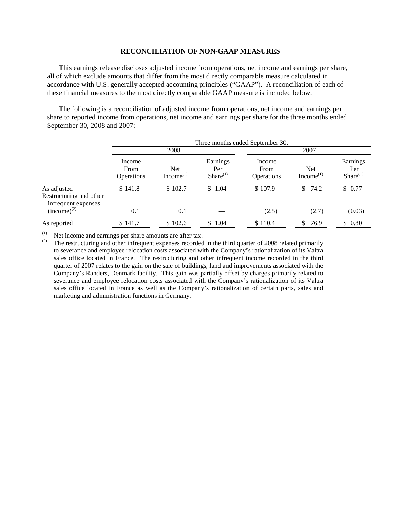#### **RECONCILIATION OF NON-GAAP MEASURES**

This earnings release discloses adjusted income from operations, net income and earnings per share, all of which exclude amounts that differ from the most directly comparable measure calculated in accordance with U.S. generally accepted accounting principles ("GAAP"). A reconciliation of each of these financial measures to the most directly comparable GAAP measure is included below.

The following is a reconciliation of adjusted income from operations, net income and earnings per share to reported income from operations, net income and earnings per share for the three months ended September 30, 2008 and 2007:

|                                                               | Three months ended September 30, |                               |                                  |                                     |                                     |                                  |  |  |
|---------------------------------------------------------------|----------------------------------|-------------------------------|----------------------------------|-------------------------------------|-------------------------------------|----------------------------------|--|--|
|                                                               |                                  | 2008                          |                                  |                                     | 2007                                |                                  |  |  |
|                                                               | Income<br>From<br>Operations     | <b>Net</b><br>Income $^{(1)}$ | Earnings<br>Per<br>$Share^{(1)}$ | Income<br>From<br><b>Operations</b> | <b>Net</b><br>Income <sup>(1)</sup> | Earnings<br>Per<br>$Share^{(1)}$ |  |  |
| As adjusted<br>Restructuring and other<br>infrequent expenses | \$141.8                          | \$102.7                       | \$1.04                           | \$107.9                             | \$<br>74.2                          | \$0.77                           |  |  |
| $(income)^{(2)}$                                              | 0.1                              | 0.1                           |                                  | (2.5)                               | (2.7)                               | (0.03)                           |  |  |
| As reported                                                   | \$141.7                          | \$102.6                       | \$1.04                           | \$110.4                             | 76.9<br>S.                          | \$0.80                           |  |  |

(1) Net income and earnings per share amounts are after tax.<br>(2) The restructuring and other infrequent expenses recorded

The restructuring and other infrequent expenses recorded in the third quarter of 2008 related primarily to severance and employee relocation costs associated with the Company's rationalization of its Valtra sales office located in France. The restructuring and other infrequent income recorded in the third quarter of 2007 relates to the gain on the sale of buildings, land and improvements associated with the Company's Randers, Denmark facility. This gain was partially offset by charges primarily related to severance and employee relocation costs associated with the Company's rationalization of its Valtra sales office located in France as well as the Company's rationalization of certain parts, sales and marketing and administration functions in Germany.